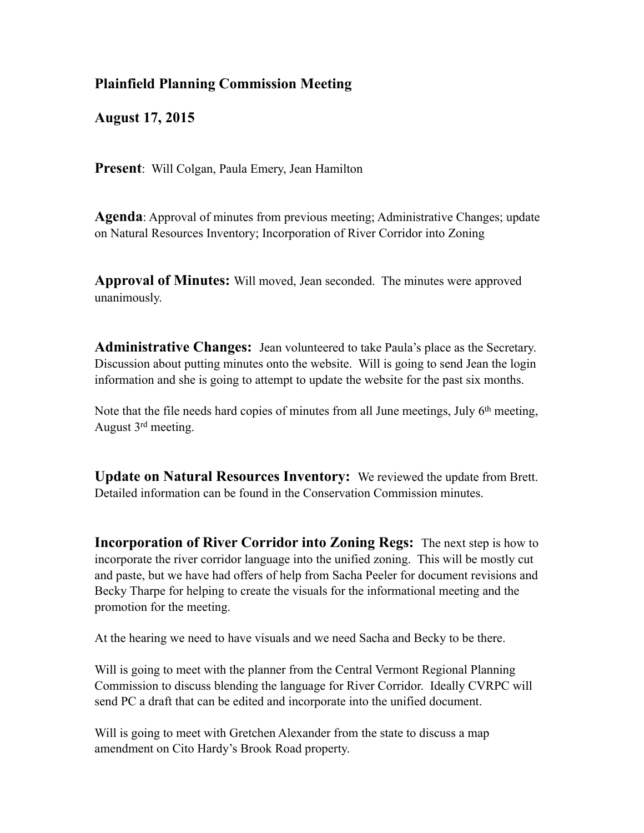## **Plainfield Planning Commission Meeting**

**August 17, 2015**

**Present**: Will Colgan, Paula Emery, Jean Hamilton

**Agenda**: Approval of minutes from previous meeting; Administrative Changes; update on Natural Resources Inventory; Incorporation of River Corridor into Zoning

**Approval of Minutes:** Will moved, Jean seconded. The minutes were approved unanimously.

**Administrative Changes:** Jean volunteered to take Paula's place as the Secretary. Discussion about putting minutes onto the website. Will is going to send Jean the login information and she is going to attempt to update the website for the past six months.

Note that the file needs hard copies of minutes from all June meetings, July 6<sup>th</sup> meeting, August 3rd meeting.

**Update on Natural Resources Inventory:** We reviewed the update from Brett. Detailed information can be found in the Conservation Commission minutes.

**Incorporation of River Corridor into Zoning Regs:** The next step is how to incorporate the river corridor language into the unified zoning. This will be mostly cut and paste, but we have had offers of help from Sacha Peeler for document revisions and Becky Tharpe for helping to create the visuals for the informational meeting and the promotion for the meeting.

At the hearing we need to have visuals and we need Sacha and Becky to be there.

Will is going to meet with the planner from the Central Vermont Regional Planning Commission to discuss blending the language for River Corridor. Ideally CVRPC will send PC a draft that can be edited and incorporate into the unified document.

Will is going to meet with Gretchen Alexander from the state to discuss a map amendment on Cito Hardy's Brook Road property.